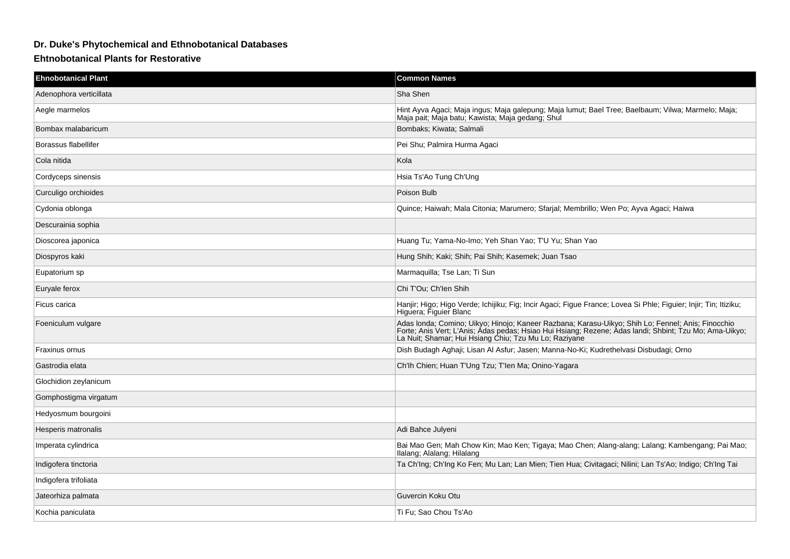## **Dr. Duke's Phytochemical and Ethnobotanical Databases**

## **Ehtnobotanical Plants for Restorative**

| <b>Ehnobotanical Plant</b> | <b>Common Names</b>                                                                                                                                                                                                                                                  |
|----------------------------|----------------------------------------------------------------------------------------------------------------------------------------------------------------------------------------------------------------------------------------------------------------------|
| Adenophora verticillata    | Sha Shen                                                                                                                                                                                                                                                             |
| Aegle marmelos             | Hint Ayva Agaci; Maja ingus; Maja galepung; Maja lumut; Bael Tree; Baelbaum; Vilwa; Marmelo; Maja;<br>Maja pait, Maja batu, Kawista, Maja gedang, Shul                                                                                                               |
| Bombax malabaricum         | Bombaks; Kiwata; Salmali                                                                                                                                                                                                                                             |
| Borassus flabellifer       | Pei Shu; Palmira Hurma Agaci                                                                                                                                                                                                                                         |
| Cola nitida                | Kola                                                                                                                                                                                                                                                                 |
| Cordyceps sinensis         | Hsia Ts'Ao Tung Ch'Ung                                                                                                                                                                                                                                               |
| Curculigo orchioides       | Poison Bulb                                                                                                                                                                                                                                                          |
| Cydonia oblonga            | Quince; Haiwah; Mala Citonia; Marumero; Sfarjal; Membrillo; Wen Po; Ayva Agaci; Haiwa                                                                                                                                                                                |
| Descurainia sophia         |                                                                                                                                                                                                                                                                      |
| Dioscorea japonica         | Huang Tu; Yama-No-Imo; Yeh Shan Yao; T'U Yu; Shan Yao                                                                                                                                                                                                                |
| Diospyros kaki             | Hung Shih; Kaki; Shih; Pai Shih; Kasemek; Juan Tsao                                                                                                                                                                                                                  |
| Eupatorium sp              | Marmaquilla; Tse Lan; Ti Sun                                                                                                                                                                                                                                         |
| Euryale ferox              | Chi T'Ou; Ch'len Shih                                                                                                                                                                                                                                                |
| Ficus carica               | Hanjir; Higo; Higo Verde; Ichijiku; Fig; Incir Agaci; Figue France; Lovea Si Phle; Figuier; Injir; Tin; Itiziku;<br>Higuera, Figuier Blanc                                                                                                                           |
| Foeniculum vulgare         | Adas Ionda; Comino; Uikyo; Hinojo; Kaneer Razbana; Karasu-Uikyo; Shih Lo; Fennel; Anis; Finocchio<br>Forte; Anis Vert; L'Anis; Adas pedas; Hsiao Hui Hsiang; Rezene; Adas Iandi; Shbint; Tzu Mo; Ama-Uikyo;<br>La Nuit; Shamar; Hui Hsiang Chiu; Tzu Mu Lo; Raziyane |
| Fraxinus ornus             | Dish Budagh Aghaji; Lisan Al Asfur; Jasen; Manna-No-Ki; Kudrethelvasi Disbudagi; Orno                                                                                                                                                                                |
| Gastrodia elata            | Ch'lh Chien; Huan T'Ung Tzu; T'len Ma; Onino-Yagara                                                                                                                                                                                                                  |
| Glochidion zeylanicum      |                                                                                                                                                                                                                                                                      |
| Gomphostigma virgatum      |                                                                                                                                                                                                                                                                      |
| Hedyosmum bourgoini        |                                                                                                                                                                                                                                                                      |
| Hesperis matronalis        | Adi Bahce Julyeni                                                                                                                                                                                                                                                    |
| Imperata cylindrica        | Bai Mao Gen; Mah Chow Kin; Mao Ken; Tigaya; Mao Chen; Alang-alang; Lalang; Kambengang; Pai Mao;<br>Ilalang; Alalang; Hilalang                                                                                                                                        |
| Indigofera tinctoria       | Ta Ch'Ing; Ch'Ing Ko Fen; Mu Lan; Lan Mien; Tien Hua; Civitagaci; Nilini; Lan Ts'Ao; Indigo; Ch'Ing Tai                                                                                                                                                              |
| Indigofera trifoliata      |                                                                                                                                                                                                                                                                      |
| Jateorhiza palmata         | Guvercin Koku Otu                                                                                                                                                                                                                                                    |
| Kochia paniculata          | Ti Fu; Sao Chou Ts'Ao                                                                                                                                                                                                                                                |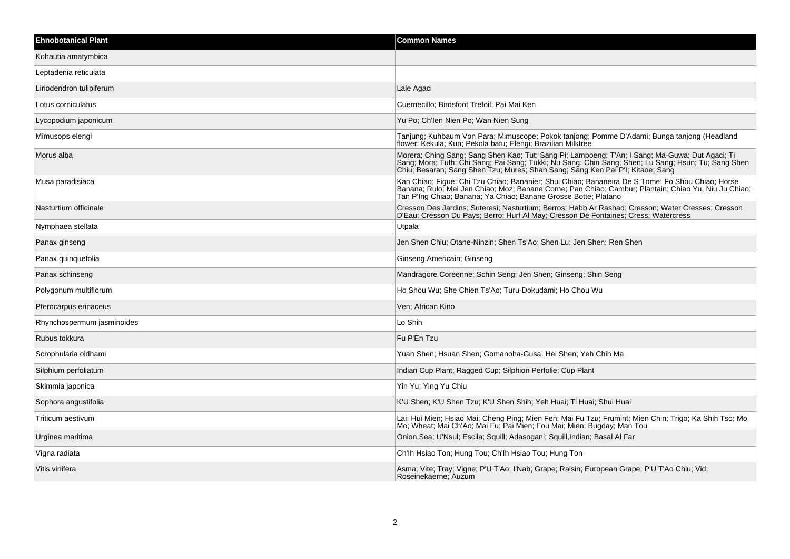| <b>Ehnobotanical Plant</b> | <b>Common Names</b>                                                                                                                                                                                                                                                                      |
|----------------------------|------------------------------------------------------------------------------------------------------------------------------------------------------------------------------------------------------------------------------------------------------------------------------------------|
| Kohautia amatymbica        |                                                                                                                                                                                                                                                                                          |
| Leptadenia reticulata      |                                                                                                                                                                                                                                                                                          |
| Liriodendron tulipiferum   | Lale Agaci                                                                                                                                                                                                                                                                               |
| Lotus corniculatus         | Cuernecillo; Birdsfoot Trefoil; Pai Mai Ken                                                                                                                                                                                                                                              |
| Lycopodium japonicum       | Yu Po; Ch'len Nien Po; Wan Nien Sung                                                                                                                                                                                                                                                     |
| Mimusops elengi            | Tanjung; Kuhbaum Von Para; Mimuscope; Pokok tanjong; Pomme D'Adami; Bunga tanjong (Headland<br>flower; Kekula; Kun; Pekola batu; Elengi; Brazilian Milktree                                                                                                                              |
| Morus alba                 | Morera; Ching Sang; Sang Shen Kao; Tut; Sang Pi; Lampoeng; T'An; I Sang; Ma-Guwa; Dut Agaci; Ti<br>Sang; Mora; Tuth; Chi Sang; Pai Sang; Tukki; Nu Sang; Chin Sang; Shen; Lu Sang; Hsun; Tu; Sang Shen<br>Chiu: Besaran: Sang Shen Tzu: Mures: Shan Sang: Sang Ken Pai P'I: Kitaoe: Sang |
| Musa paradisiaca           | Kan Chiao; Figue; Chi Tzu Chiao; Bananier; Shui Chiao; Bananeira De S Tome; Fo Shou Chiao; Horse<br>Banana; Rulo; Mei Jen Chiao; Moz; Banane Corne; Pan Chiao; Cambur; Plantain; Chiao Yu; Niu Ju Chiao;<br>Tan P'Ing Chiao; Banana; Ya Chiao; Banane Grosse Botte; Platano              |
| Nasturtium officinale      | Cresson Des Jardins; Suteresi; Nasturtium; Berros; Habb Ar Rashad; Cresson; Water Cresses; Cresson<br>D'Eau; Cresson Du Pays; Berro; Hurf Al May; Cresson De Fontaines; Cress; Watercress                                                                                                |
| Nymphaea stellata          | Utpala                                                                                                                                                                                                                                                                                   |
| Panax ginseng              | Jen Shen Chiu; Otane-Ninzin; Shen Ts'Ao; Shen Lu; Jen Shen; Ren Shen                                                                                                                                                                                                                     |
| Panax quinquefolia         | Ginseng Americain; Ginseng                                                                                                                                                                                                                                                               |
| Panax schinseng            | Mandragore Coreenne: Schin Seng: Jen Shen: Ginseng: Shin Seng                                                                                                                                                                                                                            |
| Polygonum multiflorum      | Ho Shou Wu; She Chien Ts'Ao; Turu-Dokudami; Ho Chou Wu                                                                                                                                                                                                                                   |
| Pterocarpus erinaceus      | Ven; African Kino                                                                                                                                                                                                                                                                        |
| Rhynchospermum jasminoides | Lo Shih                                                                                                                                                                                                                                                                                  |
| Rubus tokkura              | Fu P'En Tzu                                                                                                                                                                                                                                                                              |
| Scrophularia oldhami       | Yuan Shen; Hsuan Shen; Gomanoha-Gusa; Hei Shen; Yeh Chih Ma                                                                                                                                                                                                                              |
| Silphium perfoliatum       | Indian Cup Plant; Ragged Cup; Silphion Perfolie; Cup Plant                                                                                                                                                                                                                               |
| Skimmia japonica           | Yin Yu; Ying Yu Chiu                                                                                                                                                                                                                                                                     |
| Sophora angustifolia       | K'U Shen; K'U Shen Tzu; K'U Shen Shih; Yeh Huai; Ti Huai; Shui Huai                                                                                                                                                                                                                      |
| Triticum aestivum          | Lai; Hui Mien; Hsiao Mai; Cheng Ping; Mien Fen; Mai Fu Tzu; Frumint; Mien Chin; Trigo; Ka Shih Tso; Mo<br>Mo: Wheat: Mai Ch'Ao: Mai Fu: Pai Mien: Fou Mai: Mien: Bugday: Man Tou                                                                                                         |
| Urginea maritima           | Onion, Sea; U'Nsul; Escila; Squill; Adasogani; Squill, Indian; Basal Al Far                                                                                                                                                                                                              |
| Vigna radiata              | Ch'lh Hsiao Ton; Hung Tou; Ch'lh Hsiao Tou; Hung Ton                                                                                                                                                                                                                                     |
| Vitis vinifera             | Asma; Vite; Tray; Vigne; P'U T'Ao; I'Nab; Grape; Raisin; European Grape; P'U T'Ao Chiu; Vid;<br>Roseinekaerne; Auzum                                                                                                                                                                     |